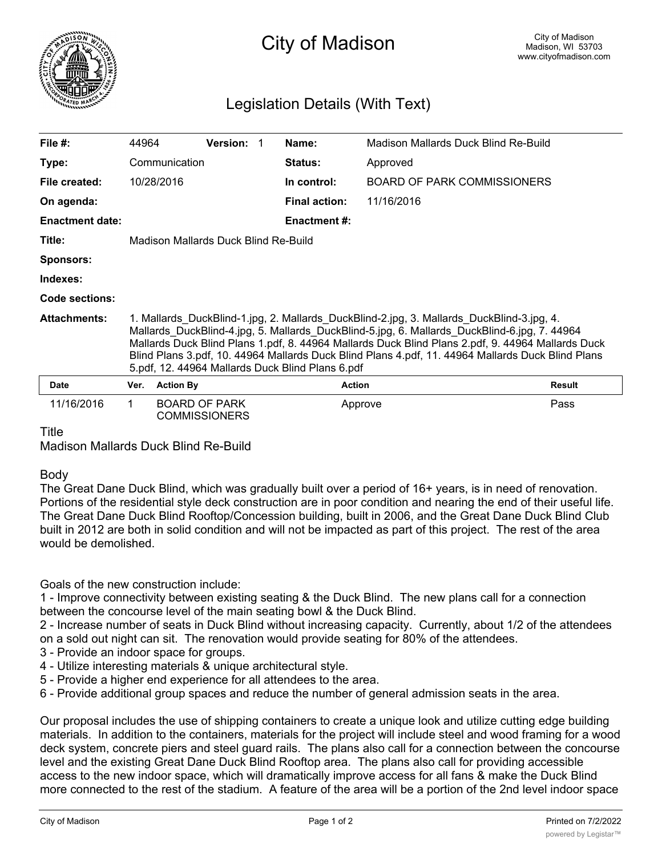

## City of Madison

## Legislation Details (With Text)

| File $#$ :             | 44964                                                                                                                                                                                                                                                                                                                                                                                                                                                   |                      | <b>Version:</b>      |  | Name:                | Madison Mallards Duck Blind Re-Build |               |
|------------------------|---------------------------------------------------------------------------------------------------------------------------------------------------------------------------------------------------------------------------------------------------------------------------------------------------------------------------------------------------------------------------------------------------------------------------------------------------------|----------------------|----------------------|--|----------------------|--------------------------------------|---------------|
| Type:                  | Communication                                                                                                                                                                                                                                                                                                                                                                                                                                           |                      |                      |  | <b>Status:</b>       | Approved                             |               |
| File created:          |                                                                                                                                                                                                                                                                                                                                                                                                                                                         | 10/28/2016           |                      |  | In control:          | <b>BOARD OF PARK COMMISSIONERS</b>   |               |
| On agenda:             |                                                                                                                                                                                                                                                                                                                                                                                                                                                         |                      |                      |  | <b>Final action:</b> | 11/16/2016                           |               |
| <b>Enactment date:</b> |                                                                                                                                                                                                                                                                                                                                                                                                                                                         |                      |                      |  | <b>Enactment #:</b>  |                                      |               |
| Title:                 | Madison Mallards Duck Blind Re-Build                                                                                                                                                                                                                                                                                                                                                                                                                    |                      |                      |  |                      |                                      |               |
| <b>Sponsors:</b>       |                                                                                                                                                                                                                                                                                                                                                                                                                                                         |                      |                      |  |                      |                                      |               |
| Indexes:               |                                                                                                                                                                                                                                                                                                                                                                                                                                                         |                      |                      |  |                      |                                      |               |
| Code sections:         |                                                                                                                                                                                                                                                                                                                                                                                                                                                         |                      |                      |  |                      |                                      |               |
| <b>Attachments:</b>    | 1. Mallards_DuckBlind-1.jpg, 2. Mallards_DuckBlind-2.jpg, 3. Mallards_DuckBlind-3.jpg, 4.<br>Mallards_DuckBlind-4.jpg, 5. Mallards_DuckBlind-5.jpg, 6. Mallards_DuckBlind-6.jpg, 7. 44964<br>Mallards Duck Blind Plans 1.pdf, 8. 44964 Mallards Duck Blind Plans 2.pdf, 9. 44964 Mallards Duck<br>Blind Plans 3.pdf, 10. 44964 Mallards Duck Blind Plans 4.pdf, 11. 44964 Mallards Duck Blind Plans<br>5.pdf, 12. 44964 Mallards Duck Blind Plans 6.pdf |                      |                      |  |                      |                                      |               |
| <b>Date</b>            | Ver.                                                                                                                                                                                                                                                                                                                                                                                                                                                    | <b>Action By</b>     |                      |  | <b>Action</b>        |                                      | <b>Result</b> |
| 11/16/2016             |                                                                                                                                                                                                                                                                                                                                                                                                                                                         | <b>BOARD OF PARK</b> | <b>COMMISSIONERS</b> |  |                      | Approve                              | Pass          |

Title

Madison Mallards Duck Blind Re-Build

## Body

The Great Dane Duck Blind, which was gradually built over a period of 16+ years, is in need of renovation. Portions of the residential style deck construction are in poor condition and nearing the end of their useful life. The Great Dane Duck Blind Rooftop/Concession building, built in 2006, and the Great Dane Duck Blind Club built in 2012 are both in solid condition and will not be impacted as part of this project. The rest of the area would be demolished.

Goals of the new construction include:

1 - Improve connectivity between existing seating & the Duck Blind. The new plans call for a connection between the concourse level of the main seating bowl & the Duck Blind.

2 - Increase number of seats in Duck Blind without increasing capacity. Currently, about 1/2 of the attendees on a sold out night can sit. The renovation would provide seating for 80% of the attendees.

3 - Provide an indoor space for groups.

- 4 Utilize interesting materials & unique architectural style.
- 5 Provide a higher end experience for all attendees to the area.
- 6 Provide additional group spaces and reduce the number of general admission seats in the area.

Our proposal includes the use of shipping containers to create a unique look and utilize cutting edge building materials. In addition to the containers, materials for the project will include steel and wood framing for a wood deck system, concrete piers and steel guard rails. The plans also call for a connection between the concourse level and the existing Great Dane Duck Blind Rooftop area. The plans also call for providing accessible access to the new indoor space, which will dramatically improve access for all fans & make the Duck Blind more connected to the rest of the stadium. A feature of the area will be a portion of the 2nd level indoor space